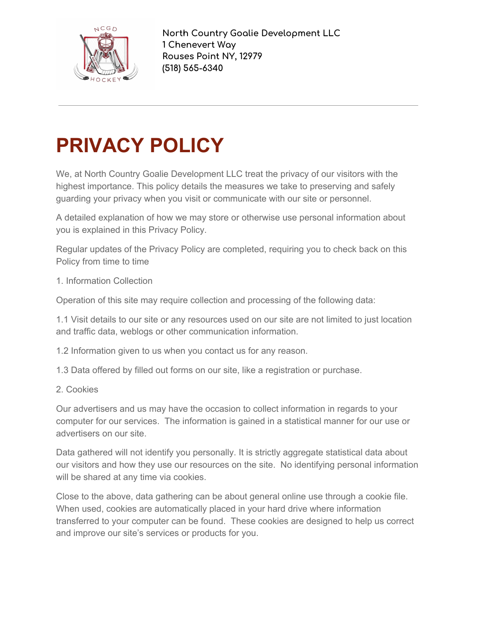

**North Country Goalie Development LLC 1 Chenevert Way Rouses Point NY, 12979 (518) 565-6340**

## **PRIVACY POLICY**

We, at North Country Goalie Development LLC treat the privacy of our visitors with the highest importance. This policy details the measures we take to preserving and safely guarding your privacy when you visit or communicate with our site or personnel.

A detailed explanation of how we may store or otherwise use personal information about you is explained in this Privacy Policy.

Regular updates of the Privacy Policy are completed, requiring you to check back on this Policy from time to time

1. Information Collection

Operation of this site may require collection and processing of the following data:

1.1 Visit details to our site or any resources used on our site are not limited to just location and traffic data, weblogs or other communication information.

1.2 Information given to us when you contact us for any reason.

1.3 Data offered by filled out forms on our site, like a registration or purchase.

2. Cookies

Our advertisers and us may have the occasion to collect information in regards to your computer for our services. The information is gained in a statistical manner for our use or advertisers on our site.

Data gathered will not identify you personally. It is strictly aggregate statistical data about our visitors and how they use our resources on the site. No identifying personal information will be shared at any time via cookies.

Close to the above, data gathering can be about general online use through a cookie file. When used, cookies are automatically placed in your hard drive where information transferred to your computer can be found. These cookies are designed to help us correct and improve our site's services or products for you.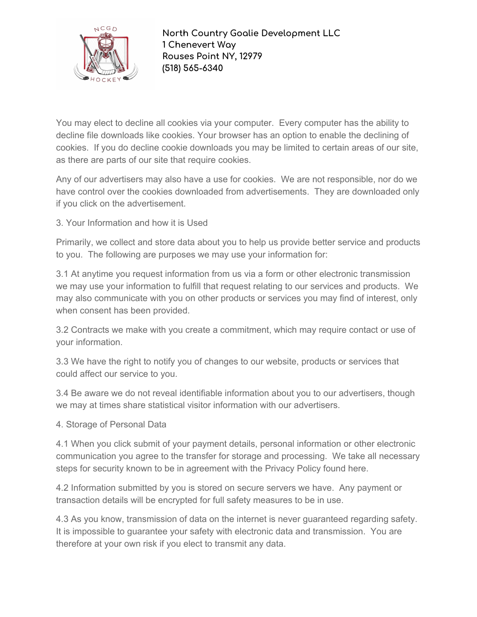

**North Country Goalie Development LLC 1 Chenevert Way Rouses Point NY, 12979 (518) 565-6340**

You may elect to decline all cookies via your computer. Every computer has the ability to decline file downloads like cookies. Your browser has an option to enable the declining of cookies. If you do decline cookie downloads you may be limited to certain areas of our site, as there are parts of our site that require cookies.

Any of our advertisers may also have a use for cookies. We are not responsible, nor do we have control over the cookies downloaded from advertisements. They are downloaded only if you click on the advertisement.

3. Your Information and how it is Used

Primarily, we collect and store data about you to help us provide better service and products to you. The following are purposes we may use your information for:

3.1 At anytime you request information from us via a form or other electronic transmission we may use your information to fulfill that request relating to our services and products. We may also communicate with you on other products or services you may find of interest, only when consent has been provided.

3.2 Contracts we make with you create a commitment, which may require contact or use of your information.

3.3 We have the right to notify you of changes to our website, products or services that could affect our service to you.

3.4 Be aware we do not reveal identifiable information about you to our advertisers, though we may at times share statistical visitor information with our advertisers.

4. Storage of Personal Data

4.1 When you click submit of your payment details, personal information or other electronic communication you agree to the transfer for storage and processing. We take all necessary steps for security known to be in agreement with the Privacy Policy found here.

4.2 Information submitted by you is stored on secure servers we have. Any payment or transaction details will be encrypted for full safety measures to be in use.

4.3 As you know, transmission of data on the internet is never guaranteed regarding safety. It is impossible to guarantee your safety with electronic data and transmission. You are therefore at your own risk if you elect to transmit any data.